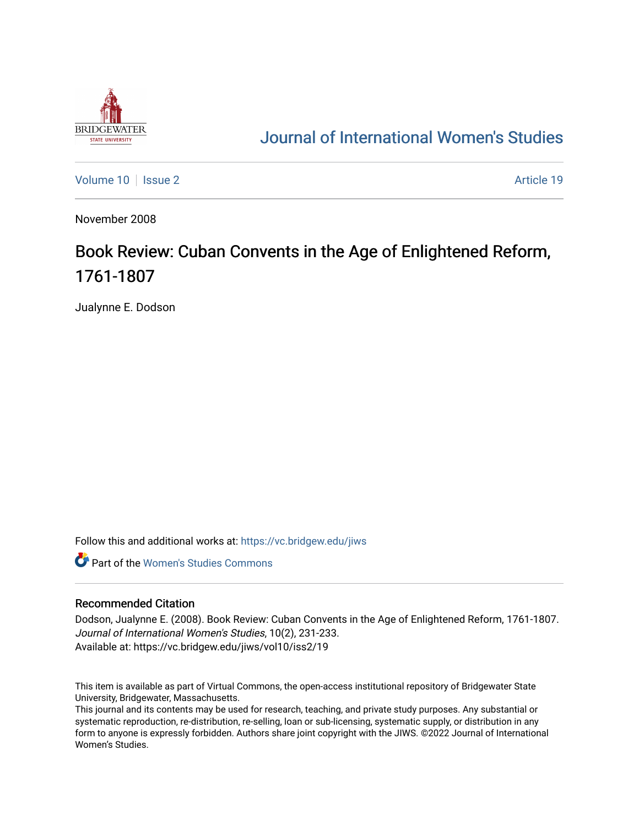

## [Journal of International Women's Studies](https://vc.bridgew.edu/jiws)

[Volume 10](https://vc.bridgew.edu/jiws/vol10) | [Issue 2](https://vc.bridgew.edu/jiws/vol10/iss2) Article 19

November 2008

## Book Review: Cuban Convents in the Age of Enlightened Reform, 1761-1807

Jualynne E. Dodson

Follow this and additional works at: [https://vc.bridgew.edu/jiws](https://vc.bridgew.edu/jiws?utm_source=vc.bridgew.edu%2Fjiws%2Fvol10%2Fiss2%2F19&utm_medium=PDF&utm_campaign=PDFCoverPages)

**C** Part of the Women's Studies Commons

## Recommended Citation

Dodson, Jualynne E. (2008). Book Review: Cuban Convents in the Age of Enlightened Reform, 1761-1807. Journal of International Women's Studies, 10(2), 231-233. Available at: https://vc.bridgew.edu/jiws/vol10/iss2/19

This item is available as part of Virtual Commons, the open-access institutional repository of Bridgewater State University, Bridgewater, Massachusetts.

This journal and its contents may be used for research, teaching, and private study purposes. Any substantial or systematic reproduction, re-distribution, re-selling, loan or sub-licensing, systematic supply, or distribution in any form to anyone is expressly forbidden. Authors share joint copyright with the JIWS. ©2022 Journal of International Women's Studies.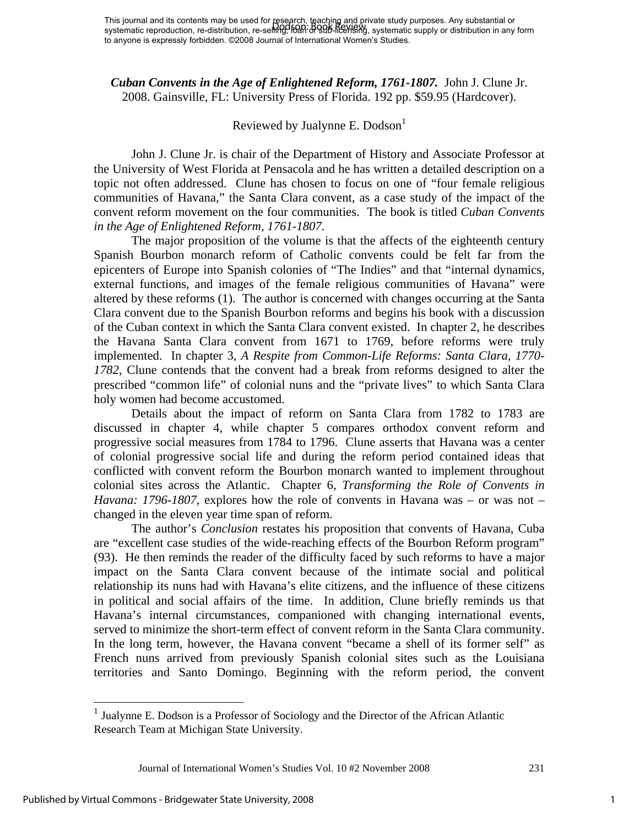*Cuban Convents in the Age of Enlightened Reform, 1761-1807.* John J. Clune Jr. 2008. Gainsville, FL: University Press of Florida. 192 pp. \$59.95 (Hardcover).

## Reviewed by Jualynne E.  $Dodson<sup>1</sup>$

John J. Clune Jr. is chair of the Department of History and Associate Professor at the University of West Florida at Pensacola and he has written a detailed description on a topic not often addressed. Clune has chosen to focus on one of "four female religious communities of Havana," the Santa Clara convent, as a case study of the impact of the convent reform movement on the four communities. The book is titled *Cuban Convents in the Age of Enlightened Reform, 1761-1807*.

 The major proposition of the volume is that the affects of the eighteenth century Spanish Bourbon monarch reform of Catholic convents could be felt far from the epicenters of Europe into Spanish colonies of "The Indies" and that "internal dynamics, external functions, and images of the female religious communities of Havana" were altered by these reforms (1). The author is concerned with changes occurring at the Santa Clara convent due to the Spanish Bourbon reforms and begins his book with a discussion of the Cuban context in which the Santa Clara convent existed. In chapter 2, he describes the Havana Santa Clara convent from 1671 to 1769, before reforms were truly implemented. In chapter 3, *A Respite from Common-Life Reforms: Santa Clara, 1770- 1782*, Clune contends that the convent had a break from reforms designed to alter the prescribed "common life" of colonial nuns and the "private lives" to which Santa Clara holy women had become accustomed.

 Details about the impact of reform on Santa Clara from 1782 to 1783 are discussed in chapter 4, while chapter 5 compares orthodox convent reform and progressive social measures from 1784 to 1796. Clune asserts that Havana was a center of colonial progressive social life and during the reform period contained ideas that conflicted with convent reform the Bourbon monarch wanted to implement throughout colonial sites across the Atlantic. Chapter 6, *Transforming the Role of Convents in Havana: 1796-1807*, explores how the role of convents in Havana was – or was not – changed in the eleven year time span of reform.

 The author's *Conclusion* restates his proposition that convents of Havana, Cuba are "excellent case studies of the wide-reaching effects of the Bourbon Reform program" (93). He then reminds the reader of the difficulty faced by such reforms to have a major impact on the Santa Clara convent because of the intimate social and political relationship its nuns had with Havana's elite citizens, and the influence of these citizens in political and social affairs of the time. In addition, Clune briefly reminds us that Havana's internal circumstances, companioned with changing international events, served to minimize the short-term effect of convent reform in the Santa Clara community. In the long term, however, the Havana convent "became a shell of its former self" as French nuns arrived from previously Spanish colonial sites such as the Louisiana territories and Santo Domingo. Beginning with the reform period, the convent

1

<sup>&</sup>lt;sup>1</sup> Jualynne E. Dodson is a Professor of Sociology and the Director of the African Atlantic Research Team at Michigan State University.

Journal of International Women's Studies Vol. 10 #2 November 2008 231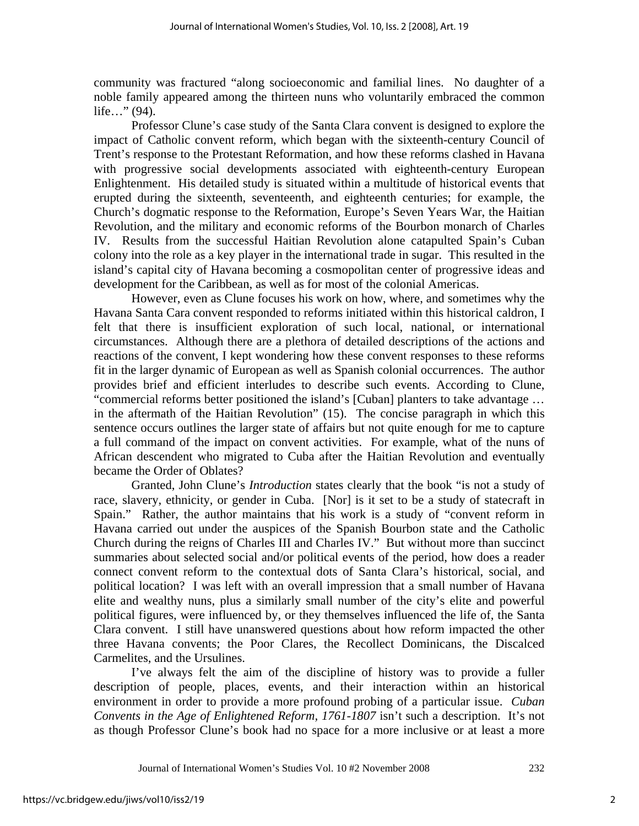community was fractured "along socioeconomic and familial lines. No daughter of a noble family appeared among the thirteen nuns who voluntarily embraced the common life…" (94).

 Professor Clune's case study of the Santa Clara convent is designed to explore the impact of Catholic convent reform, which began with the sixteenth-century Council of Trent's response to the Protestant Reformation, and how these reforms clashed in Havana with progressive social developments associated with eighteenth-century European Enlightenment. His detailed study is situated within a multitude of historical events that erupted during the sixteenth, seventeenth, and eighteenth centuries; for example, the Church's dogmatic response to the Reformation, Europe's Seven Years War, the Haitian Revolution, and the military and economic reforms of the Bourbon monarch of Charles IV. Results from the successful Haitian Revolution alone catapulted Spain's Cuban colony into the role as a key player in the international trade in sugar. This resulted in the island's capital city of Havana becoming a cosmopolitan center of progressive ideas and development for the Caribbean, as well as for most of the colonial Americas.

 However, even as Clune focuses his work on how, where, and sometimes why the Havana Santa Cara convent responded to reforms initiated within this historical caldron, I felt that there is insufficient exploration of such local, national, or international circumstances. Although there are a plethora of detailed descriptions of the actions and reactions of the convent, I kept wondering how these convent responses to these reforms fit in the larger dynamic of European as well as Spanish colonial occurrences. The author provides brief and efficient interludes to describe such events. According to Clune, "commercial reforms better positioned the island's [Cuban] planters to take advantage … in the aftermath of the Haitian Revolution" (15). The concise paragraph in which this sentence occurs outlines the larger state of affairs but not quite enough for me to capture a full command of the impact on convent activities. For example, what of the nuns of African descendent who migrated to Cuba after the Haitian Revolution and eventually became the Order of Oblates?

 Granted, John Clune's *Introduction* states clearly that the book "is not a study of race, slavery, ethnicity, or gender in Cuba. [Nor] is it set to be a study of statecraft in Spain." Rather, the author maintains that his work is a study of "convent reform in Havana carried out under the auspices of the Spanish Bourbon state and the Catholic Church during the reigns of Charles III and Charles IV." But without more than succinct summaries about selected social and/or political events of the period, how does a reader connect convent reform to the contextual dots of Santa Clara's historical, social, and political location? I was left with an overall impression that a small number of Havana elite and wealthy nuns, plus a similarly small number of the city's elite and powerful political figures, were influenced by, or they themselves influenced the life of, the Santa Clara convent. I still have unanswered questions about how reform impacted the other three Havana convents; the Poor Clares, the Recollect Dominicans, the Discalced Carmelites, and the Ursulines.

 I've always felt the aim of the discipline of history was to provide a fuller description of people, places, events, and their interaction within an historical environment in order to provide a more profound probing of a particular issue. *Cuban Convents in the Age of Enlightened Reform, 1761-1807* isn't such a description. It's not as though Professor Clune's book had no space for a more inclusive or at least a more

Journal of International Women's Studies Vol. 10 #2 November 2008 232